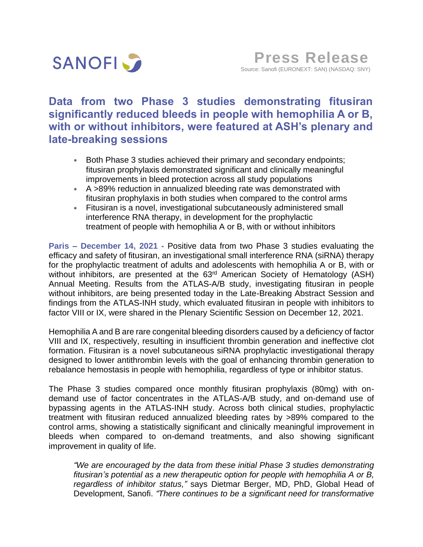

# **Data from two Phase 3 studies demonstrating fitusiran significantly reduced bleeds in people with hemophilia A or B, with or without inhibitors, were featured at ASH's plenary and late-breaking sessions**

- \* Both Phase 3 studies achieved their primary and secondary endpoints; fitusiran prophylaxis demonstrated significant and clinically meaningful improvements in bleed protection across all study populations
- A >89% reduction in annualized bleeding rate was demonstrated with fitusiran prophylaxis in both studies when compared to the control arms
- Fitusiran is a novel, investigational subcutaneously administered small interference RNA therapy, in development for the prophylactic treatment of people with hemophilia A or B, with or without inhibitors

**Paris – December 14, 2021 -** Positive data from two Phase 3 studies evaluating the efficacy and safety of fitusiran, an investigational small interference RNA (siRNA) therapy for the prophylactic treatment of adults and adolescents with hemophilia A or B, with or without inhibitors, are presented at the 63<sup>rd</sup> American Society of Hematology (ASH) Annual Meeting. Results from the ATLAS-A/B study, investigating fitusiran in people without inhibitors, are being presented today in the Late-Breaking Abstract Session and findings from the ATLAS-INH study, which evaluated fitusiran in people with inhibitors to factor VIII or IX, were shared in the Plenary Scientific Session on December 12, 2021.

Hemophilia A and B are rare congenital bleeding disorders caused by a deficiency of factor VIII and IX, respectively, resulting in insufficient thrombin generation and ineffective clot formation. Fitusiran is a novel subcutaneous siRNA prophylactic investigational therapy designed to lower antithrombin levels with the goal of enhancing thrombin generation to rebalance hemostasis in people with hemophilia, regardless of type or inhibitor status.

The Phase 3 studies compared once monthly fitusiran prophylaxis (80mg) with ondemand use of factor concentrates in the ATLAS-A/B study, and on-demand use of bypassing agents in the ATLAS-INH study. Across both clinical studies, prophylactic treatment with fitusiran reduced annualized bleeding rates by >89% compared to the control arms, showing a statistically significant and clinically meaningful improvement in bleeds when compared to on-demand treatments, and also showing significant improvement in quality of life.

*"We are encouraged by the data from these initial Phase 3 studies demonstrating fitusiran's potential as a new therapeutic option for people with hemophilia A or B, regardless of inhibitor status,"* says Dietmar Berger, MD, PhD, Global Head of Development, Sanofi. *"There continues to be a significant need for transformative*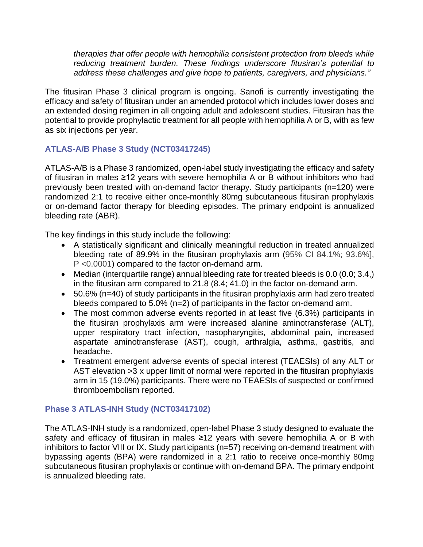*therapies that offer people with hemophilia consistent protection from bleeds while reducing treatment burden. These findings underscore fitusiran's potential to address these challenges and give hope to patients, caregivers, and physicians."*

The fitusiran Phase 3 clinical program is ongoing. Sanofi is currently investigating the efficacy and safety of fitusiran under an amended protocol which includes lower doses and an extended dosing regimen in all ongoing adult and adolescent studies. Fitusiran has the potential to provide prophylactic treatment for all people with hemophilia A or B, with as few as six injections per year.

# **ATLAS-A/B Phase 3 Study (NCT03417245)**

ATLAS-A/B is a Phase 3 randomized, open-label study investigating the efficacy and safety of fitusiran in males ≥12 years with severe hemophilia A or B without inhibitors who had previously been treated with on-demand factor therapy. Study participants (n=120) were randomized 2:1 to receive either once-monthly 80mg subcutaneous fitusiran prophylaxis or on-demand factor therapy for bleeding episodes. The primary endpoint is annualized bleeding rate (ABR).

The key findings in this study include the following:

- A statistically significant and clinically meaningful reduction in treated annualized bleeding rate of 89.9% in the fitusiran prophylaxis arm (95% CI 84.1%; 93.6%], P <0.0001) compared to the factor on-demand arm.
- Median (interquartile range) annual bleeding rate for treated bleeds is 0.0 (0.0; 3.4,) in the fitusiran arm compared to 21.8 (8.4; 41.0) in the factor on-demand arm.
- 50.6% (n=40) of study participants in the fitusiran prophylaxis arm had zero treated bleeds compared to 5.0% (n=2) of participants in the factor on-demand arm.
- The most common adverse events reported in at least five (6.3%) participants in the fitusiran prophylaxis arm were increased alanine aminotransferase (ALT), upper respiratory tract infection, nasopharyngitis, abdominal pain, increased aspartate aminotransferase (AST), cough, arthralgia, asthma, gastritis, and headache.
- Treatment emergent adverse events of special interest (TEAESIs) of any ALT or AST elevation >3 x upper limit of normal were reported in the fitusiran prophylaxis arm in 15 (19.0%) participants. There were no TEAESIs of suspected or confirmed thromboembolism reported.

# **Phase 3 ATLAS-INH Study (NCT03417102)**

The ATLAS-INH study is a randomized, open-label Phase 3 study designed to evaluate the safety and efficacy of fitusiran in males ≥12 years with severe hemophilia A or B with inhibitors to factor VIII or IX. Study participants (n=57) receiving on-demand treatment with bypassing agents (BPA) were randomized in a 2:1 ratio to receive once-monthly 80mg subcutaneous fitusiran prophylaxis or continue with on-demand BPA. The primary endpoint is annualized bleeding rate.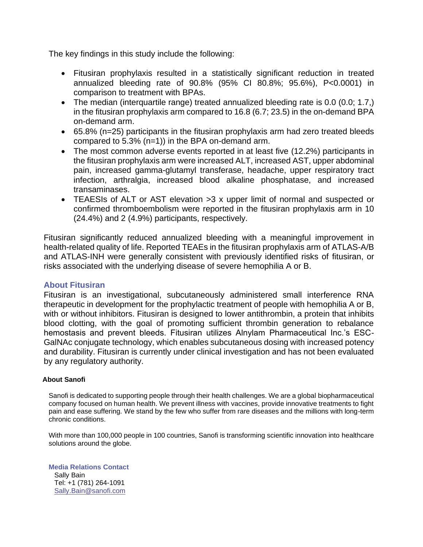The key findings in this study include the following:

- Fitusiran prophylaxis resulted in a statistically significant reduction in treated annualized bleeding rate of 90.8% (95% CI 80.8%; 95.6%), P<0.0001) in comparison to treatment with BPAs.
- The median (interquartile range) treated annualized bleeding rate is 0.0 (0.0; 1.7,) in the fitusiran prophylaxis arm compared to 16.8 (6.7; 23.5) in the on-demand BPA on-demand arm.
- 65.8% (n=25) participants in the fitusiran prophylaxis arm had zero treated bleeds compared to 5.3% (n=1)) in the BPA on-demand arm.
- The most common adverse events reported in at least five (12.2%) participants in the fitusiran prophylaxis arm were increased ALT, increased AST, upper abdominal pain, increased gamma-glutamyl transferase, headache, upper respiratory tract infection, arthralgia, increased blood alkaline phosphatase, and increased transaminases.
- TEAESIs of ALT or AST elevation >3 x upper limit of normal and suspected or confirmed thromboembolism were reported in the fitusiran prophylaxis arm in 10 (24.4%) and 2 (4.9%) participants, respectively.

Fitusiran significantly reduced annualized bleeding with a meaningful improvement in health-related quality of life. Reported TEAEs in the fitusiran prophylaxis arm of ATLAS-A/B and ATLAS-INH were generally consistent with previously identified risks of fitusiran, or risks associated with the underlying disease of severe hemophilia A or B.

# **About Fitusiran**

Fitusiran is an investigational, subcutaneously administered small interference RNA therapeutic in development for the prophylactic treatment of people with hemophilia A or B, with or without inhibitors. Fitusiran is designed to lower antithrombin, a protein that inhibits blood clotting, with the goal of promoting sufficient thrombin generation to rebalance hemostasis and prevent bleeds. Fitusiran utilizes Alnylam Pharmaceutical Inc.'s ESC-GalNAc conjugate technology, which enables subcutaneous dosing with increased potency and durability. Fitusiran is currently under clinical investigation and has not been evaluated by any regulatory authority.

## **About Sanofi**

Sanofi is dedicated to supporting people through their health challenges. We are a global biopharmaceutical company focused on human health. We prevent illness with vaccines, provide innovative treatments to fight pain and ease suffering. We stand by the few who suffer from rare diseases and the millions with long-term chronic conditions.

With more than 100,000 people in 100 countries, Sanofi is transforming scientific innovation into healthcare solutions around the globe.

**Media Relations Contact** Sally Bain Tel: +1 (781) 264-1091 [Sally.Bain@sanofi.com](mailto:Sally.Bain@sanofi.com)